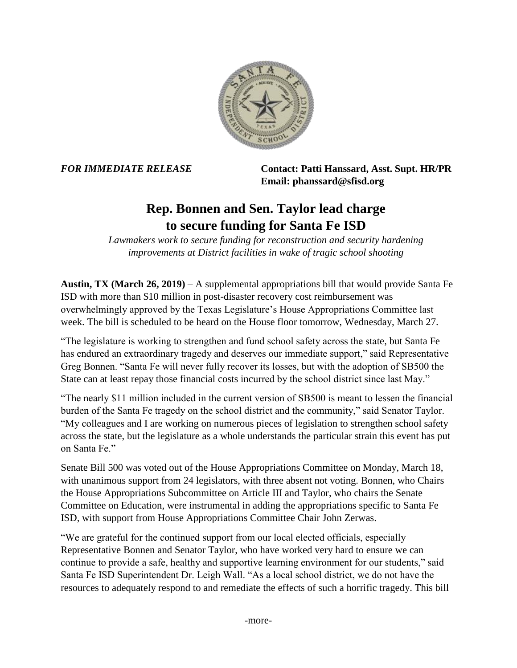

*FOR IMMEDIATE RELEASE* **Contact: Patti Hanssard, Asst. Supt. HR/PR Email: phanssard@sfisd.org**

## **Rep. Bonnen and Sen. Taylor lead charge to secure funding for Santa Fe ISD**

*Lawmakers work to secure funding for reconstruction and security hardening improvements at District facilities in wake of tragic school shooting*

**Austin, TX (March 26, 2019)** – A supplemental appropriations bill that would provide Santa Fe ISD with more than \$10 million in post-disaster recovery cost reimbursement was overwhelmingly approved by the Texas Legislature's House Appropriations Committee last week. The bill is scheduled to be heard on the House floor tomorrow, Wednesday, March 27.

"The legislature is working to strengthen and fund school safety across the state, but Santa Fe has endured an extraordinary tragedy and deserves our immediate support," said Representative Greg Bonnen. "Santa Fe will never fully recover its losses, but with the adoption of SB500 the State can at least repay those financial costs incurred by the school district since last May."

"The nearly \$11 million included in the current version of SB500 is meant to lessen the financial burden of the Santa Fe tragedy on the school district and the community," said Senator Taylor. "My colleagues and I are working on numerous pieces of legislation to strengthen school safety across the state, but the legislature as a whole understands the particular strain this event has put on Santa Fe."

Senate Bill 500 was voted out of the House Appropriations Committee on Monday, March 18, with unanimous support from 24 legislators, with three absent not voting. Bonnen, who Chairs the House Appropriations Subcommittee on Article III and Taylor, who chairs the Senate Committee on Education, were instrumental in adding the appropriations specific to Santa Fe ISD, with support from House Appropriations Committee Chair John Zerwas.

"We are grateful for the continued support from our local elected officials, especially Representative Bonnen and Senator Taylor, who have worked very hard to ensure we can continue to provide a safe, healthy and supportive learning environment for our students," said Santa Fe ISD Superintendent Dr. Leigh Wall. "As a local school district, we do not have the resources to adequately respond to and remediate the effects of such a horrific tragedy. This bill